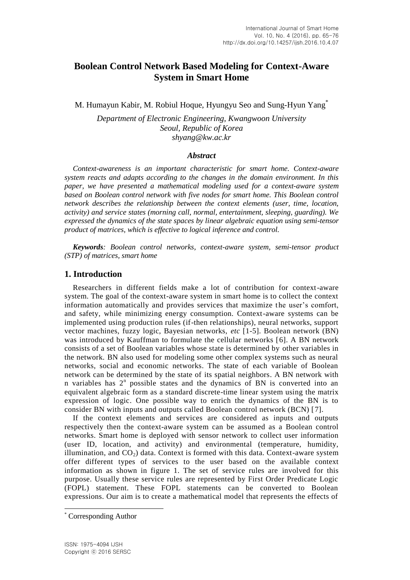# **Boolean Control Network Based Modeling for Context-Aware System in Smart Home**

M. Humayun Kabir, M. Robiul Hoque, Hyungyu Seo and Sung-Hyun Yang<sup>\*</sup>

*Department of Electronic Engineering, Kwangwoon University Seoul, Republic of Korea shyang@kw.ac.kr*

#### *Abstract*

*Context-awareness is an important characteristic for smart home. Context-aware system reacts and adapts according to the changes in the domain environment. In this paper, we have presented a mathematical modeling used for a context-aware system based on Boolean control network with five nodes for smart home. This Boolean control network describes the relationship between the context elements (user, time, location, activity) and service states (morning call, normal, entertainment, sleeping, guarding). We expressed the dynamics of the state spaces by linear algebraic equation using semi-tensor product of matrices, which is effective to logical inference and control.*

*Keywords: Boolean control networks, context-aware system, semi-tensor product (STP) of matrices, smart home*

## **1. Introduction**

Researchers in different fields make a lot of contribution for context-aware system. The goal of the context-aware system in smart home is to collect the context information automatically and provides services that maximize the user's comfort, and safety, while minimizing energy consumption. Context-aware systems can be implemented using production rules (if-then relationships), neural networks, support vector machines, fuzzy logic, Bayesian networks, *etc* [1-5]. Boolean network (BN) was introduced by Kauffman to formulate the cellular networks [6]. A BN network consists of a set of Boolean variables whose state is determined by other variables in the network. BN also used for modeling some other complex systems such as neural networks, social and economic networks. The state of each variable of Boolean network can be determined by the state of its spatial neighbors. A BN network with n variables has  $2<sup>n</sup>$  possible states and the dynamics of BN is converted into an equivalent algebraic form as a standard discrete-time linear system using the matrix expression of logic. One possible way to enrich the dynamics of the BN is to consider BN with inputs and outputs called Boolean control network (BCN) [7].

If the context elements and services are considered as inputs and outputs respectively then the context-aware system can be assumed as a Boolean control networks. Smart home is deployed with sensor network to collect user information (user ID, location, and activity) and environmental (temperature, humidity, illumination, and  $CO<sub>2</sub>$ ) data. Context is formed with this data. Context-aware system offer different types of services to the user based on the available context information as shown in figure 1. The set of service rules are involved for this purpose. Usually these service rules are represented by First Order Predicate Logic (FOPL) statement. These FOPL statements can be converted to Boolean expressions. Our aim is to create a mathematical model that represents the effects of

l

<sup>\*</sup> Corresponding Author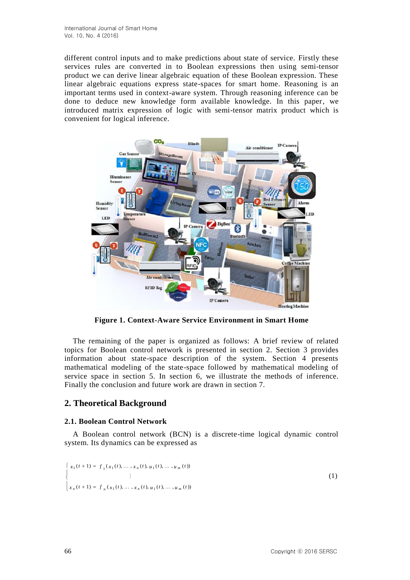different control inputs and to make predictions about state of service. Firstly these services rules are converted in to Boolean expressions then using semi-tensor product we can derive linear algebraic equation of these Boolean expression. These linear algebraic equations express state-spaces for smart home. Reasoning is an important terms used in context-aware system. Through reasoning inference can be done to deduce new knowledge form available knowledge. In this paper, we introduced matrix expression of logic with semi-tensor matrix product which is convenient for logical inference.



**Figure 1. Context-Aware Service Environment in Smart Home**

The remaining of the paper is organized as follows: A brief review of related topics for Boolean control network is presented in section 2. Section 3 provides information about state-space description of the system. Section 4 presents mathematical modeling of the state-space followed by mathematical modeling of service space in section 5. In section 6, we illustrate the methods of inference. Finally the conclusion and future work are drawn in section 7.

# **2. Theoretical Background**

### **2.1. Boolean Control Network**

A Boolean control network (BCN) is a discrete-time logical dynamic control system. Its dynamics can be expressed as

$$
\begin{cases}\n x_1(t+1) = f_1(x_1(t), \dots, x_n(t), u_1(t), \dots, u_m(t)) \\
\vdots \\
x_n(t+1) = f_n(x_1(t), \dots, x_n(t), u_1(t), \dots, u_m(t))\n\end{cases}
$$
\n(1)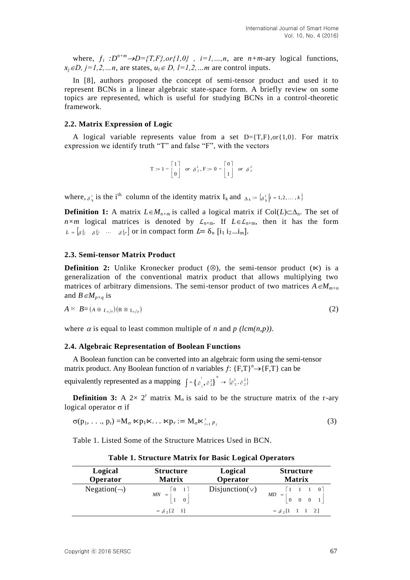where,  $f_i : D^{n+m} \rightarrow D=\{T,F\}$ , or  $\{1,0\}$ ,  $i=1,...,n$ , are  $n+m$ -ary logical functions,  $x_i \in D$ ,  $j = 1, 2, \ldots n$ , are states,  $u_i \in D$ ,  $l = 1, 2, \ldots m$  are control inputs.

In [8], authors proposed the concept of semi-tensor product and used it to represent BCNs in a linear algebraic state-space form. A briefly review on some topics are represented, which is useful for studying BCNs in a control-theoretic framework.

#### **2.2. Matrix Expression of Logic**

A logical variable represents value from a set  $D = \{T,F\}$ , or  $\{1,0\}$ . For matrix expression we identify truth "T" and false "F", with the vectors

$$
\mathbf{T} := 1 \sim \begin{bmatrix} 1 \\ 0 \end{bmatrix} \text{ or } \delta^{\frac{1}{2}}, \mathbf{F} := 0 \sim \begin{bmatrix} 0 \\ 1 \end{bmatrix} \text{ or } \delta^{\frac{2}{2}}
$$

where,  $\delta_k^i$  is the i<sup>th</sup> column of the identity matrix  $I_k$  and  $\Delta_k := {\delta_k^i | i = 1, 2, ..., k}$ 

**Definition 1:** A matrix  $L \in M_{n \times m}$  is called a logical matrix if  $Col(L) \subset \Delta_n$ . The set of *n*×m logical matrices is denoted by  $\mathcal{L}_{n \times m}$ . If  $L \in \mathcal{L}_{n \times m}$ , then it has the form  $L = \begin{bmatrix} \delta^{i_1} & \delta^{i_2} & \cdots & \delta^{i_m} \end{bmatrix}$  or in compact form  $L = \delta_n$  [i<sub>1</sub> i<sub>2</sub>...i<sub>m</sub>].

#### **2.3. Semi-tensor Matrix Product**

**Definition 2:** Unlike Kronecker product  $(\otimes)$ , the semi-tensor product  $(\times)$  is a generalization of the conventional matrix product that allows multiplying two matrices of arbitrary dimensions. The semi-tensor product of two matrices  $A \in M_{m \times n}$ and *B* $\in M_{p \times q}$  is

$$
A \ltimes B = (A \otimes I_{\alpha/p})(B \otimes I_{\alpha/p}) \tag{2}
$$

where  $\alpha$  is equal to least common multiple of *n* and *p (lcm(n,p))*.

#### **2.4. Algebraic Representation of Boolean Functions**

A Boolean function can be converted into an algebraic form using the semi-tensor matrix product. Any Boolean function of *n* variables  $f: {F,T}^n \rightarrow {F,T}$  can be equivalently represented as a mapping  $\int = \{\delta_1, \delta_2^2\} \rightarrow \{\delta_2^1, \delta_2^2\}$  $\left\{\begin{array}{c}1\\ \partial_1,\partial_2\end{array}\right\}^n \rightarrow \left\{\begin{array}{c}1\\ \partial_2\end{array}\right\}^n,$ 

**Definition 3:** A  $2 \times 2^r$  matrix  $M_\sigma$  is said to be the structure matrix of the r-ary logical operator  $\sigma$  if

$$
\sigma(p_1, \ldots, p_r) = M_{\sigma} \ltimes p_1 \ltimes \ldots \ltimes p_r := M_{\sigma} \ltimes_{i=1}^r p_i
$$
\n(3)

Table 1. Listed Some of the Structure Matrices Used in BCN.

| Logical<br>Operator | <b>Structure</b><br><b>Matrix</b>                                                   | Logical<br>Operator   | <b>Structure</b><br><b>Matrix</b>                                                                   |  |
|---------------------|-------------------------------------------------------------------------------------|-----------------------|-----------------------------------------------------------------------------------------------------|--|
| $Negation(\neg)$    | $\begin{bmatrix} 0 & 1 \end{bmatrix}$<br>$MN = \begin{vmatrix} 1 & 0 \end{vmatrix}$ | Disjunction( $\vee$ ) | $\begin{bmatrix} 1 & 1 & 1 & 0 \end{bmatrix}$<br>$MD = \begin{vmatrix} 0 & 0 & 0 & 1 \end{vmatrix}$ |  |
|                     | $= \delta_2[2 \ 1]$                                                                 |                       | $= \delta_2[1 \ 1 \ 1 \ 2]$                                                                         |  |

| <b>Table 1. Structure Matrix for Basic Logical Operators</b> |
|--------------------------------------------------------------|
|--------------------------------------------------------------|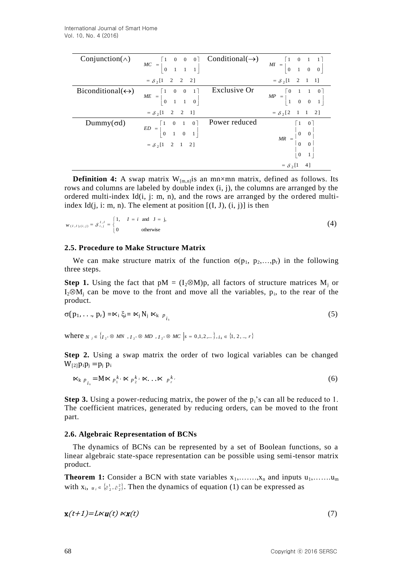| Conjunction( $\wedge$ )          | $MC = \begin{bmatrix} 1 & 0 & 0 & 0 \\ 0 & 1 & 1 & 1 \end{bmatrix}$ Conditional( $\rightarrow$ )               |               | $MI = \begin{bmatrix} 1 & 0 & 1 & 1 \\ 0 & 1 & 0 & 0 \end{bmatrix}$ |
|----------------------------------|----------------------------------------------------------------------------------------------------------------|---------------|---------------------------------------------------------------------|
|                                  | $= \delta_2[1 \quad 2 \quad 2 \quad 2]$                                                                        |               | $= \delta_2[1 \quad 2 \quad 1 \quad 1]$                             |
| $Biconditional(\leftrightarrow)$ | $ME = \begin{bmatrix} 1 & 0 & 0 & 1 \\ 0 & 1 & 1 & 0 \end{bmatrix}$                                            | Exclusive Or  | $MP = \begin{bmatrix} 0 & 1 & 1 & 0 \\ 1 & 0 & 0 & 1 \end{bmatrix}$ |
|                                  | $= \delta_2[1 \quad 2 \quad 2 \quad 1]$                                                                        |               | $= \delta_2[2 \quad 1 \quad 1 \quad 2]$                             |
| Dummy $(\sigma d)$               | $ED = \begin{bmatrix} 1 & 0 & 1 & 0 \\ 0 & 1 & 0 & 1 \end{bmatrix}$<br>$= \delta_2[1 \quad 2 \quad 1 \quad 2]$ | Power reduced | $MR = \begin{bmatrix} 1 & 0 \\ 0 & 0 \\ 0 & 0 \end{bmatrix}$        |
|                                  |                                                                                                                |               | $= \delta_2[1 \ 4]$                                                 |

**Definition 4:** A swap matrix  $W_{[m,n]}$  is an mn×mn matrix, defined as follows. Its rows and columns are labeled by double index (i, j), the columns are arranged by the ordered multi-index Id $(i, j: m, n)$ , and the rows are arranged by the ordered multiindex Id $(i, i: m, n)$ . The element at position  $[(I, J), (i, j)]$  is then

$$
w_{(I,J), (i,j)} = \delta_{i,j}^{I,J} = \begin{cases} 1, & I = i \text{ and } J = j, \\ 0 & \text{otherwise} \end{cases}
$$
 (4)

### **2.5. Procedure to Make Structure Matrix**

We can make structure matrix of the function  $\sigma(p_1, p_2,...,p_r)$  in the following three steps.

**Step 1.** Using the fact that  $pM = (I_2 \otimes M)p$ , all factors of structure matrices  $M_i$  or  $I_2 \otimes M_j$  can be move to the front and move all the variables,  $p_i$ , to the rear of the product.

$$
\sigma(p_1, \ldots, p_r) = \kappa_i \xi_i = \kappa_j N_j \kappa_k \frac{1}{p_i}
$$
 (5)

where  $N_i \in \{I_{2^s} \otimes MN, I_{2^s} \otimes MD, I_{2^s} \otimes MC\ |s = 0,1,2,...\}, i_k \in \{1, 2, ..., r\}$ 

**Step 2.** Using a swap matrix the order of two logical variables can be changed  $W_{[2]}p_i p_j = p_j p_i$ 

$$
\mathbf{K}_{k} p_{i_k} = \mathbf{M} \mathbf{K} p_1^{k_1} \mathbf{K} p_2^{k_2} \mathbf{K} \dots \mathbf{K} p_r^{k_r}
$$
 (6)

**Step 3.** Using a power-reducing matrix, the power of the  $p_i$ 's can all be reduced to 1. The coefficient matrices, generated by reducing orders, can be moved to the front part.

### **2.6. Algebraic Representation of BCNs**

The dynamics of BCNs can be represented by a set of Boolean functions, so a linear algebraic state-space representation can be possible using semi-tensor matrix product.

**Theorem 1:** Consider a BCN with state variables  $x_1, \ldots, x_n$  and inputs  $u_1, \ldots, u_m$ with  $x_i$ ,  $u_i \in \{\partial_2^1, \partial_2^2\}$ . Then the dynamics of equation (1) can be expressed as

$$
\mathbf{x}(t+1) = L \kappa \mathbf{u}(t) \, \kappa \mathbf{x}(t) \tag{7}
$$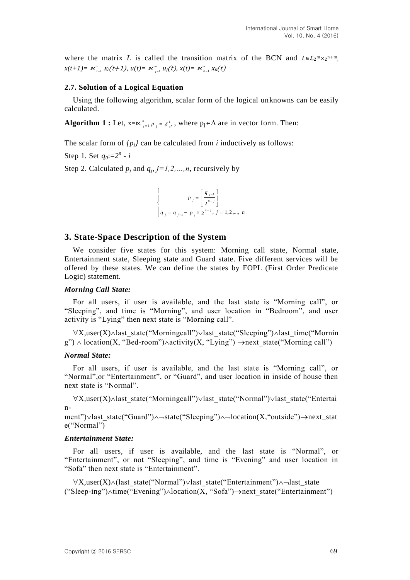where the matrix *L* is called the transition matrix of the BCN and  $L \in L_2^m \times 2^{n+m}$ ,  $x(t+1) = \mathcal{K}_{i=1}^n X_i(t+1), u(t) = \mathcal{K}_{j=1}^m u_j(t), x(t) = \mathcal{K}_{k=1}^n X_k(t)$ 

#### **2.7. Solution of a Logical Equation**

Using the following algorithm, scalar form of the logical unknowns can be easily calculated.

**Algorithm 1**: Let,  $x = \kappa \int_{j=1}^{n} p_j = \delta \int_{2^n}^{i}$ , where  $p_j \in \Delta$  are in vector form. Then:

The scalar form of  $\{p_j\}$  can be calculated from *i* inductively as follows:

Step 1. Set  $q_0:=2^n - i$ 

Step 2. Calculated  $p_j$  and  $q_j$ ,  $j=1,2,...,n$ , recursively by

$$
\begin{cases}\n p_j = \left[ \frac{q_{j-1}}{2^{n-j}} \right] \\
q_j = q_{j-1} - p_j \times 2^{n-j}, j = 1, 2, ..., n\n\end{cases}
$$

### **3. State-Space Description of the System**

We consider five states for this system: Morning call state, Normal state, Entertainment state, Sleeping state and Guard state. Five different services will be offered by these states. We can define the states by FOPL (First Order Predicate Logic) statement.

#### *Morning Call State:*

For all users, if user is available, and the last state is "Morning call", or "Sleeping", and time is "Morning", and user location in "Bedroom", and user activity is "Lying" then next state is "Morning call".

 $\forall X, user(X) \land last\_state("Morning call") \lor last\_state("Sleeping") \land last\_time("Mornin"$  $g''$ )  $\land$  location(X, "Bed-room") $\land$ activity(X, "Lying")  $\rightarrow$ next state("Morning call")

#### *Normal State:*

For all users, if user is available, and the last state is "Morning call", or "Normal",or "Entertainment", or "Guard", and user location in inside of house then next state is "Normal".

 $\forall X, \text{user}(X) \land \text{last state}("Mormingcall") \lor \text{last state}("Normal") \lor \text{last state}("Entertai")$ n-

ment") $\vee$ last state("Guard") $\wedge \neg$ state("Sleeping") $\wedge \neg$ location(X,"outside") $\rightarrow$ next\_stat e("Normal")

#### *Entertainment State:*

For all users, if user is available, and the last state is "Normal", or "Entertainment", or not "Sleeping", and time is "Evening" and user location in "Sofa" then next state is "Entertainment".

 $\forall X, user(X) \land (last state("Normal") \lor last state("Entertainment") \land \neg last-state$  $("Sleep-ing") \land time("Evening") \land location(X, "Sofa") \rightarrow next\_state("Entertainment")$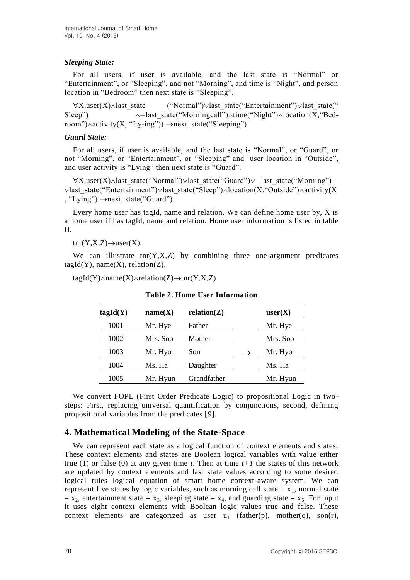## *Sleeping State:*

For all users, if user is available, and the last state is "Normal" or "Entertainment", or "Sleeping", and not "Morning", and time is "Night", and person location in "Bedroom" then next state is "Sleeping".

 $\forall X, \text{user}(X) \land \text{last state}$  ("Normal") $\lor \text{last state}$  state("Entertainment") $\lor \text{last state}$ (" Sleep")  $\land$  -last state("Morningcall") $\land$ time("Night") $\land$ location(X, "Bedroom") $\land$ activity(X, "Ly-ing"))  $\rightarrow$ next state("Sleeping")

### *Guard State:*

For all users, if user is available, and the last state is "Normal", or "Guard", or not "Morning", or "Entertainment", or "Sleeping" and user location in "Outside", and user activity is "Lying" then next state is "Guard".

 $\forall X, \text{user}(X) \land \text{last state}("Normal") \lor \text{last state}("Guard") \lor \text{last state}("Normal")$  $\vee$ last state("Entertainment") $\vee$ last state("Sleep") $\wedge$ location(X,"Outside") $\wedge$ activity(X , "Lying")  $\rightarrow$  next state("Guard")

Every home user has tagId, name and relation. We can define home user by, X is a home user if has tagId, name and relation. Home user information is listed in table  $II$ .

 $trr(Y, X, Z) \rightarrow user(X)$ .

We can illustrate  $\text{tr}(Y, X, Z)$  by combining three one-argument predicates  $tagId(Y)$ , name $(X)$ , relation $(Z)$ .

 $tagId(Y) \wedge name(X) \wedge relation(Z) \rightarrow tnr(Y, X, Z)$ 

| tagId(Y) | name(X)  | relation(Z) |               | user(X)  |
|----------|----------|-------------|---------------|----------|
| 1001     | Mr. Hye  | Father      |               | Mr. Hye  |
| 1002     | Mrs. Soo | Mother      |               | Mrs. Soo |
| 1003     | Mr. Hyo  | Son         | $\rightarrow$ | Mr. Hyo  |
| 1004     | Ms. Ha   | Daughter    |               | Ms. Ha   |
| 1005     | Mr. Hyun | Grandfather |               | Mr. Hyun |

**Table 2. Home User Information**

We convert FOPL (First Order Predicate Logic) to propositional Logic in twosteps: First, replacing universal quantification by conjunctions, second, defining propositional variables from the predicates [9].

# **4. Mathematical Modeling of the State-Space**

We can represent each state as a logical function of context elements and states. These context elements and states are Boolean logical variables with value either true (1) or false (0) at any given time  $t$ . Then at time  $t+1$  the states of this network are updated by context elements and last state values according to some desired logical rules logical equation of smart home context-aware system. We can represent five states by logic variables, such as morning call state  $= x<sub>1</sub>$ , normal state  $x_2$ , entertainment state  $x_3$ , sleeping state  $x_4$ , and guarding state  $x_5$ . For input it uses eight context elements with Boolean logic values true and false. These context elements are categorized as user  $u_1$  (father(p), mother(q), son(r),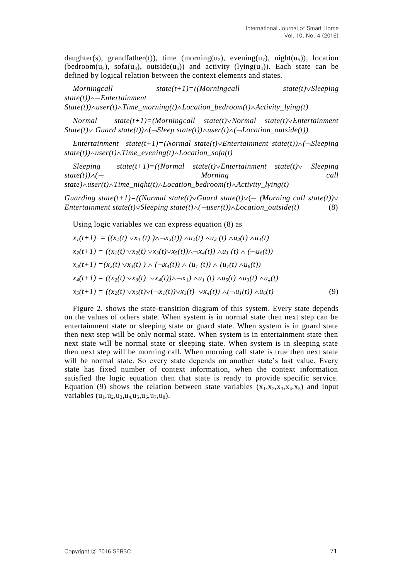daughter(s), grandfather(t)), time (morning(u<sub>2</sub>), evening(u<sub>7</sub>), night(u<sub>5</sub>)), location (bedroom(u<sub>3</sub>), sofa(u<sub>8</sub>), outside(u<sub>6</sub>)) and activity (lying(u<sub>4</sub>)). Each state can be defined by logical relation between the context elements and states.

*Morningcall state(t+1)=((Morningcall state(t)Sleeping state(t))Entertainment*   $State(t)$  $\wedge$ *user*(*t*) $\wedge$ *Time\_morning*(*t*) $\wedge$ *Location\_bedroom*(*t*) $\wedge$ *Activity\_lying*(*t*)

*Normal state(t+1)=(Morningcall state(t)Normal state(t)Entertainment*   $State(t) \vee$  *Guard state(t)*) $\wedge$ ( $\neg \text{Sleep state}(t)$ ) $\wedge$ *user(t)* $\wedge$ ( $\neg \text{Location outside}(t)$ )

*Entertainment* state(t+1)=(Normal state(t) $\vee$ Entertainment state(t)) $\wedge$ ( $\neg$ Sleeping  $state(t)$ ) $\land$ *user(t)* $\land$ *Time\_evening(t)* $\land$ *Location\_sofa(t)* 

*Sleeping state(t+1)=((Normal state(t)Entertainment state(t) Sleeping state(t))( Morning call*   $state) \land user(t) \land Time\ night(t) \land Location\ bedroom(t) \land Activity\ lying(t)$ 

*Guarding state(t+1)=((Normal state(t)* $\vee$ *Guard state(t)* $\vee$ ( $\sim$  (Morning call state(t)) $\vee$ *Entertainment state(t)* $\vee$ *Sleeping state(t)* $\wedge$  $\wedge$ *user(t)* $\wedge$ *Location outside(t)* (8)

Using logic variables we can express equation (8) as

$$
x_1(t+1) = ((x_1(t) \vee x_4(t)) \wedge \neg x_3(t)) \wedge u_1(t) \wedge u_2(t) \wedge u_3(t) \wedge u_4(t)
$$
  
\n
$$
x_2(t+1) = ((x_1(t) \vee x_2(t) \vee x_3(t) \vee x_5(t)) \wedge \neg x_4(t)) \wedge u_1(t) \wedge (\neg u_6(t))
$$
  
\n
$$
x_3(t+1) = (x_2(t) \vee x_3(t)) \wedge (\neg x_4(t)) \wedge (u_1(t)) \wedge (u_7(t) \wedge u_8(t))
$$
  
\n
$$
x_4(t+1) = ((x_2(t) \vee x_3(t) \vee x_4(t)) \wedge \neg x_1) \wedge u_1(t) \wedge u_5(t) \wedge u_3(t) \wedge u_4(t)
$$
  
\n
$$
x_5(t+1) = ((x_2(t) \vee x_5(t) \vee (\neg x_1(t)) \vee x_3(t) \vee x_4(t)) \wedge (\neg u_1(t)) \wedge u_6(t)) \qquad (9)
$$

Figure 2. shows the state-transition diagram of this system. Every state depends on the values of others state. When system is in normal state then next step can be entertainment state or sleeping state or guard state. When system is in guard state then next step will be only normal state. When system is in entertainment state then next state will be normal state or sleeping state. When system is in sleeping state then next step will be morning call. When morning call state is true then next state will be normal state. So every state depends on another state's last value. Every state has fixed number of context information, when the context information satisfied the logic equation then that state is ready to provide specific service. Equation (9) shows the relation between state variables  $(x_1,x_2,x_3,x_4,x_5)$  and input variables  $(u_1, u_2, u_3, u_4, u_5, u_6, u_7, u_8)$ .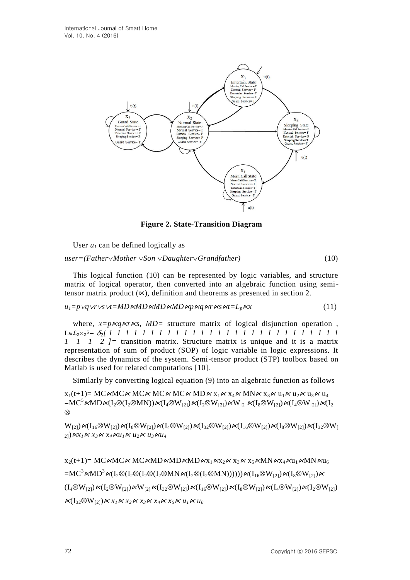

**Figure 2. State-Transition Diagram**

User  $u_1$  can be defined logically as

*user=(FatherMother Son DaughterGrandfather)* (10)

This logical function (10) can be represented by logic variables, and structure matrix of logical operator, then converted into an algebraic function using semitensor matrix product  $(\times)$ , definition and theorems as presented in section 2.

 $u_1 = p \lor q \lor r \lor s \lor t = MD \land MD \land MD \land MD \land q \land r \land s \land t = L_p \land x$  (11)

where,  $x = p \kappa q \kappa r \kappa s$ ,  $MD =$  structure matrix of logical disjunction operation, L∊ℒ2<sup>2</sup> <sup>5</sup>*= 2[ 1 1 1 1 1 1 1 1 1 1 1 1 1 1 1 1 1 1 1 1 1 1 1 1 1 1 1 1 1 1 1 2 ]=* transition matrix. Structure matrix is unique and it is a matrix representation of sum of product (SOP) of logic variable in logic expressions. It describes the dynamics of the system. Semi-tensor product (STP) toolbox based on Matlab is used for related computations [10].

Similarly by converting logical equation (9) into an algebraic function as follows

 $x_1(t+1) = MC \triangle MCKMCKMCKMCKMDC \triangle KAD \triangle x_1 \triangle x_4 \triangle MN \triangle x_3 \triangle u_1 \triangle x_1 \triangle x_4 \triangle x_5$  $=MC^5\Join MD\Join(I_2\otimes(I_2\otimes MN))\Join(I_4\otimes W_{12})\Join(I_2\otimes W_{12})\Join W_{121}\Join(I_8\otimes W_{12})\Join(I_4\otimes W_{12})\Join(I_2\otimes W_{21})$  $\otimes$ 

 $W_{[2]}$ ) $\kappa(I_{16}\otimes W_{[2]})\kappa(I_{8}\otimes W_{[2]})\kappa(I_{4}\otimes W_{[2]})\kappa(I_{32}\otimes W_{[2]})\kappa(I_{16}\otimes W_{[2]})\kappa(I_{8}\otimes W_{[2]})\kappa(I_{32}\otimes W_{[2]})$  $\chi_1$ ( $\chi_2$   $\chi_3 \chi_4 \chi_4$   $\chi_5 \chi_6 \chi_7$   $\chi_7 \chi_8 \chi_7$ 

 $x_2(t+1)$ = MC «MC « MC « MD « MD « MD « M $X_1$  «  $x_2$  «  $x_3$  «  $x_5$  « MN «  $x_4$  «  $u_1$  « MN  $u_6$  $=\mathbf{MC}^3\ltimes\mathbf{MD}^3\ltimes\mathbf{(I}_2\otimes\mathbf{(I}_2\otimes\mathbf{(I}_2\otimes\mathbf{MN}\ltimes\mathbf{(I}_2\otimes\mathbf{MN})))\mathbf{)}\ltimes\mathbf{(I}_1\otimes\mathbf{W}_{(2)})\ltimes\mathbf{(I}_8\otimes\mathbf{W}_{(2)})\ltimes\mathbf{C}$  $(I_4 \otimes W_{12}) \triangle (I_2 \otimes W_{12}) \triangle W_{121} \triangle (I_{32} \otimes W_{121}) \triangle (I_{16} \otimes W_{121}) \triangle (I_8 \otimes W_{121}) \triangle (I_4 \otimes W_{121}) \triangle (I_2 \otimes W_{121})$  $\mathcal{K}(I_{32} \otimes W_{12}) \propto x_1 \times x_2 \times x_3 \times x_4 \times x_5 \times u_1 \times u_6$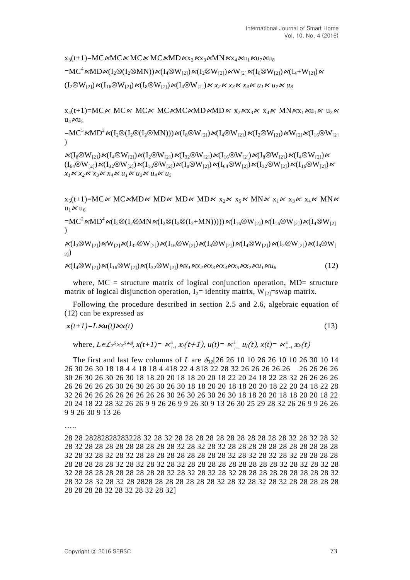$x_3(t+1) = MC \wedge MC \wedge MC \wedge MC \wedge MD \wedge x_2 \wedge x_3 \wedge MN \wedge x_4 \wedge u_1 \wedge u_2 \wedge u_3$ 

 $=MC^4\mathcal{M}D\mathcal{K}(I_2\otimes (I_2\otimes MN))\mathcal{K}(I_4\otimes W_{12})\mathcal{K}(I_2\otimes W_{12})\mathcal{K}W_{121}\mathcal{K}(I_8\otimes W_{12})\mathcal{K}(I_4+W_{12})\mathcal{K}$ 

 $((I_2 \otimes W_{12}) \times (I_{16} \otimes W_{12}) \times (I_8 \otimes W_{12}) \times (I_4 \otimes W_{12}) \times x_2 \times x_3 \times x_4 \times u_1 \times u_2 \times u_3$ 

 $x_4(t+1)=MC \ltimes MC \ltimes MC \ltimes MC \ltimes MC \ltimes MD \ltimes MD \ltimes X_2 \ltimes x_3 \ltimes x_4 \ltimes MN \ltimes x_1 \ltimes u_1 \ltimes u_3 \ltimes$  $u_4 \mathcal{K} u_5$ 

 $=\mathbf{MC}^5\mathcal{M}\mathbf{D}^2\mathcal{M}$ [J2(I2(I2MN))] $\mathcal{M}$ [ $_8\otimes\mathbf{W}_{121}\mathcal{M}$ [ $_4\otimes\mathbf{W}_{121}\mathcal{M}$ (I2 $\otimes\mathbf{W}_{121}\mathcal{M}$ [ $_1_6\otimes\mathbf{W}_{121}$  $\lambda$ 

 $\kappa(I_8\otimes W_{12})\kappa(I_4\otimes W_{12})\kappa(I_2\otimes W_{12})\kappa(I_{32}\otimes W_{12})\kappa(I_{16}\otimes W_{12})\kappa(I_8\otimes W_{12})\kappa(I_4\otimes W_{12})\kappa$  $(I_{64} \otimes W_{12}) \propto (I_{32} \otimes W_{12}) \propto (I_{16} \otimes W_{12}) \propto (I_{8} \otimes W_{12}) \propto (I_{64} \otimes W_{12}) \propto (I_{32} \otimes W_{12}) \propto (I_{16} \otimes W_{12}) \propto$  $x_1 \mathcal{K} x_2 \mathcal{K} x_3 \mathcal{K} x_4 \mathcal{K} u_1 \mathcal{K} u_3 \mathcal{K} u_4 \mathcal{K} u_5$ 

 $x_5(t+1)=MC \times MC \times MD \times MD \times MD \times MD \times x_2 \times x_5 \times MN \times x_1 \times x_3 \times x_4 \times MN \times$  $u_1 \mathcal{K} u_6$ 

 $=MC^2\ltimes MD^4\ltimes (I_2\otimes (I_2\otimes MN\ltimes (I_2\otimes (I_2+MN))))\ltimes (I_{16}\otimes W_{12})\ltimes (I_{16}\otimes W_{12})\ltimes (I_4\otimes W_{12})$ )

 $\mathcal{N}(I_2\otimes W_{12})\mathcal{N}W_{12} \mathcal{N}(I_{32}\otimes W_{12})\mathcal{N}(I_{16}\otimes W_{12})\mathcal{N}(I_8\otimes W_{12})\mathcal{N}(I_4\otimes W_{12})\mathcal{N}(I_2\otimes W_{12})\mathcal{N}(I_8\otimes W_{12})$ 2])

$$
\kappa(I_4 \otimes W_{[2]}) \kappa(I_{16} \otimes W_{[2]}) \kappa(I_{32} \otimes W_{[2]}) \kappa x_1 \kappa x_2 \kappa x_3 \kappa x_4 \kappa x_5 \kappa x_2 \kappa u_1 \kappa u_6 \tag{12}
$$

where,  $MC =$  structure matrix of logical conjunction operation,  $MD =$  structure matrix of logical disjunction operation,  $I_2$ = identity matrix,  $W_{[2]}$ =swap matrix.

Following the procedure described in section 2.5 and 2.6, algebraic equation of (12) can be expressed as

$$
\mathbf{x}(t+1) = L \exp(t) \exp(t) \tag{13}
$$

where, 
$$
L \in L_2^5 \times 2^{5+\theta}
$$
,  $x(t+1) = \kappa_{i=1}^5 X_i(t+1)$ ,  $u(t) = \kappa_{i=1}^8 u_i(t)$ ,  $x(t) = \kappa_{i=1}^5 X_k(t)$ 

The first and last few columns of *L* are *32*[26 26 10 10 26 26 10 10 26 30 10 14 26 30 26 30 18 18 4 4 18 18 4 418 22 4 818 22 28 32 26 26 26 26 26 26 26 26 26 30 26 30 26 30 26 30 18 18 20 20 18 18 20 20 18 22 20 24 18 22 28 32 26 26 26 26 26 26 26 26 26 30 26 30 26 30 26 30 18 18 20 20 18 18 20 20 18 22 20 24 18 22 28 32 26 26 26 26 26 26 26 26 26 30 26 30 26 30 26 30 18 18 20 20 18 18 20 20 18 22 20 24 18 22 28 32 26 26 9 9 26 26 9 9 26 30 9 13 26 30 25 29 28 32 26 26 9 9 26 26 9 9 26 30 9 13 26

…..

28 28 28282828283228 32 28 32 28 28 28 28 28 28 28 28 28 28 28 32 28 32 28 32 28 32 28 28 28 28 28 28 28 28 28 32 28 32 28 32 28 28 28 28 28 28 28 28 28 28 28 32 28 32 28 32 28 32 28 28 28 28 28 28 28 28 28 32 28 32 28 32 28 32 28 28 28 28 28 28 28 28 28 32 28 32 28 32 28 32 28 28 28 28 28 28 28 28 28 32 28 32 28 32 28 32 28 28 28 28 28 28 28 28 28 32 28 32 28 32 28 32 28 28 28 28 28 28 28 28 28 32 28 32 28 32 28 32 28 2828 28 28 28 28 28 28 32 28 32 28 32 28 32 28 28 28 28 28 28 28 28 28 32 28 32 28 32 28 32]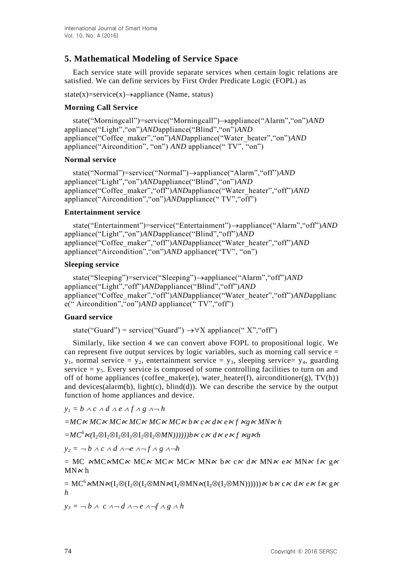# **5. Mathematical Modeling of Service Space**

Each service state will provide separate services when certain logic relations are satisfied. We can define services by First Order Predicate Logic (FOPL) as

state(x)=service(x) $\rightarrow$ appliance (Name, status)

# **Morning Call Service**

state("Morningcall")=service("Morningcall")->appliance("Alarm","on")*AND* appliance("Light","on")*AND*appliance("Blind","on")*AND* appliance("Coffee\_maker","on")*AND*appliance("Water\_heater","on")*AND* appliance("Aircondition", "on") *AND* appliance(" TV", "on")

## **Normal service**

state("Normal")=service("Normal")->appliance("Alarm","off")*AND* appliance("Light","on")*AND*appliance("Blind","on")*AND* appliance("Coffee\_maker","off")*AND*appliance("Water\_heater","off")*AND* appliance("Aircondition","on")*AND*appliance(" TV","off")

## **Entertainment service**

state("Entertainment")=service("Entertainment")->appliance("Alarm","off")*AND* appliance("Light","on")*AND*appliance("Blind","off")*AND* appliance("Coffee\_maker","off")*AND*appliance("Water\_heater","off")*AND* appliance("Aircondition","on")*AND* appliance("TV", "on")

## **Sleeping service**

state("Sleeping")=service("Sleeping")->appliance("Alarm","off")*AND* appliance("Light","off")*AND*appliance("Blind","off")*AND* appliance("Coffee\_maker","off")*AND*appliance("Water\_heater","off")*AND*applianc e(" Aircondition","on")*AND* appliance(" TV","off")

# **Guard service**

state("Guard") = service("Guard")  $\rightarrow \forall X$  appliance(" X", "off")

Similarly, like section 4 we can convert above FOPL to propositional logic. We can represent five output services by logic variables, such as morning call service  $=$  $y_1$ , normal service =  $y_2$ , entertainment service =  $y_3$ , sleeping service=  $y_4$ , guarding service  $= y_5$ . Every service is composed of some controlling facilities to turn on and off of home appliances (coffee\_maker(e), water\_heater(f), airconditioner(g), TV(h)) and devices(alarm(b),  $light(c)$ ,  $blind(d)$ ). We can describe the service by the output function of home appliances and device.

 $y_1 = b \land c \land d \land e \land f \land g \land \neg h$ 

*=MC*<sup>⋉</sup> *MC*<sup>⋉</sup> *MC*<sup>⋉</sup> *MC*<sup>⋉</sup> *MC*<sup>⋉</sup> *MC*<sup>⋉</sup> *b*<sup>⋉</sup> *c*<sup>⋉</sup> *d*<sup>⋉</sup> *e*<sup>⋉</sup> *f* ⋉*g*<sup>⋉</sup> *MN*<sup>⋉</sup> *h*

*=MC<sup>6</sup>*⋉*(*I2I2I2I2I2I2*MN))))))b*<sup>⋉</sup> *c*<sup>⋉</sup> *d*<sup>⋉</sup> *e*<sup>⋉</sup> *f* ⋉*g*⋉*h*

 $y_2 = -b \wedge c \wedge d \wedge -e \wedge f \wedge g \wedge -h$ 

 $= MC \wedge MC \wedge MC \times MC \times MC \times MC \times MN \times b \times c \times d \times MN \times e \times MN \times f \times g \times c$  $MN \times h$ 

 $= MC^6$  KMN K(I<sub>2</sub>\(I<sub>2</sub>\(I<sub>2</sub>\)MN K(I<sub>2</sub>\)MN K(I<sub>2</sub>\(I<sub>2</sub>\)MN))))))  $\kappa$  b  $\kappa$  c  $\kappa$  d  $\kappa$  e  $\kappa$  f  $\kappa$  g  $\kappa$ *h*

 $y_3 = -b \wedge c \wedge d \wedge e \wedge f \wedge g \wedge h$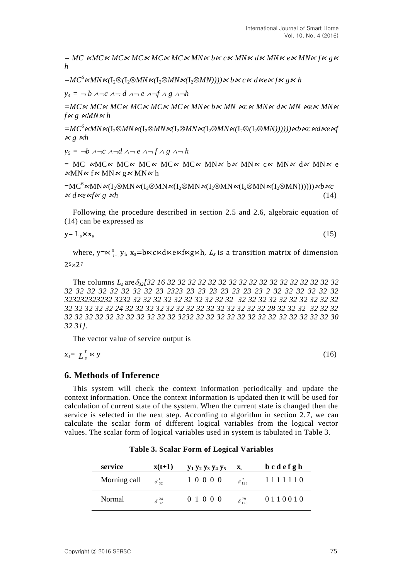*= MC* ⋉*MC*<sup>⋉</sup> *MC*<sup>⋉</sup> *MC*<sup>⋉</sup> *MC*<sup>⋉</sup> *MC*<sup>⋉</sup> *MN*<sup>⋉</sup> *b*<sup>⋉</sup> *c*<sup>⋉</sup> *MN*<sup>⋉</sup> *d*<sup>⋉</sup> *MN*<sup>⋉</sup> *e*<sup>⋉</sup> *MN*<sup>⋉</sup> *f*<sup>⋉</sup> *g*<sup>⋉</sup> *h*

 $=MC^6$  KMN  $\ltimes$ (I<sub>2</sub>⊗MN  $\ltimes$ (I<sub>2</sub>⊗MN  $\ltimes$ (I<sub>2</sub>⊗MN)))) $\ltimes$  *b*  $\ltimes$  *c*  $\ltimes$  *d*  $\ltimes$  *e*  $\ltimes$  *f*  $\ltimes$  *g*  $\ltimes$  *h* 

 $y_4 = -b$   $\lambda - c$   $\lambda - d$   $\lambda - e$   $\lambda - f$   $\lambda$   $g$   $\lambda - h$ 

*=MC*<sup>⋉</sup> *MC*<sup>⋉</sup> *MC*<sup>⋉</sup> *MC*<sup>⋉</sup> *MC*<sup>⋉</sup> *MC*<sup>⋉</sup> *MN*<sup>⋉</sup> *b*<sup>⋉</sup> *MN* ⋉*c*<sup>⋉</sup> *MN*<sup>⋉</sup> *d*<sup>⋉</sup> *MN* ⋉*e*<sup>⋉</sup> *MN*<sup>⋉</sup>  $f \propto g \propto M N \propto h$ 

 $=MC^6$  KMN K(I<sub>2</sub>⊗MN K(I<sub>2</sub>⊗MN K(I<sub>2</sub>⊗MN K(I<sub>2</sub>⊗MN K(I<sub>2</sub>⊗/(I<sub>2</sub>⊗MN))))))) kb Kc Kd Ke Kf ⋉ *g* ⋉*h*

 $y_5 = -b \land -c \land -d \land -e \land -f \land g \land -h$ 

 $= MC \Join MCK \Join C \Join MCK \Join C \Join MCK \Join N \Join b \Join M \Join c \Join M \Join d \Join M \Join e$  $\alpha$ MN $\alpha$  f  $\alpha$  MN $\alpha$  g  $\alpha$  MN $\alpha$  h

 $=MC^6\kappa MN\kappa(I_2\otimes MN\kappa(I_2\otimes MN\kappa(I_2\otimes MN\kappa(I_2\otimes MN\kappa(I_2\otimes MN))))))\kappa b\kappa c$  $\alpha d$ <sub>Ke</sub>  $\alpha f$ <sub>K</sub>  $g$   $\alpha h$  (14)

Following the procedure described in section 2.5 and 2.6, algebraic equation of (14) can be expressed as

 $y = L_s \Join x_s$ 

 $(15)$ 

where, y=∝<sup>5</sup><sub>j=1</sub> y<sub>i</sub>, x<sub>s</sub>=b⋉c⋉d⋉e⋉f⋉g⋉h, *L<sub>s</sub>* is a transition matrix of dimension  $25\times27$ 

The columns *L<sup>s</sup>* are*32[32 16 32 32 32 32 32 32 32 32 32 32 32 32 32 32 32 32 32 32 32 32 32 32 32 32 32 23 2323 23 23 23 23 23 23 23 2 32 32 32 32 32 32 323232323232 3232 32 32 32 32 32 32 32 32 32 32 32 32 32 32 32 32 32 32 32 32 32 32 32 32 32 24 32 32 32 32 32 32 32 32 32 32 32 32 32 32 28 32 32 32 32 32 32 32 32 32 32 32 32 32 32 32 32 32 3232 32 32 32 32 32 32 32 32 32 32 32 32 32 30 32 31]*.

The vector value of service output is

 $x_s = L_s^T$ *S*  $\ltimes$  y (16)

## **6. Methods of Inference**

This system will check the context information periodically and update the context information. Once the context information is updated then it will be used for calculation of current state of the system. When the current state is changed then the service is selected in the next step. According to algorithm in section 2.7, we can calculate the scalar form of different logical variables from the logical vector values. The scalar form of logical variables used in system is tabulated in Table 3.

| service      | $x(t+1)$           | <b>y</b> <sub>1</sub> <b>y</b> <sub>2</sub> <b>y</b> <sub>3</sub> <b>y</b> <sub>4</sub> <b>y</b> <sub>5</sub> | $\mathbf{X}_{\mathbf{S}}$ | bcdefgh |
|--------------|--------------------|---------------------------------------------------------------------------------------------------------------|---------------------------|---------|
| Morning call | $\delta_{32}^{16}$ | 10000                                                                                                         | $\delta_{128}^2$          | 1111110 |
| Normal       | $\delta^{24}_{32}$ | 0 1 0 0 0                                                                                                     | $\delta^{79}_{128}$       | 0110010 |

**Table 3. Scalar Form of Logical Variables**